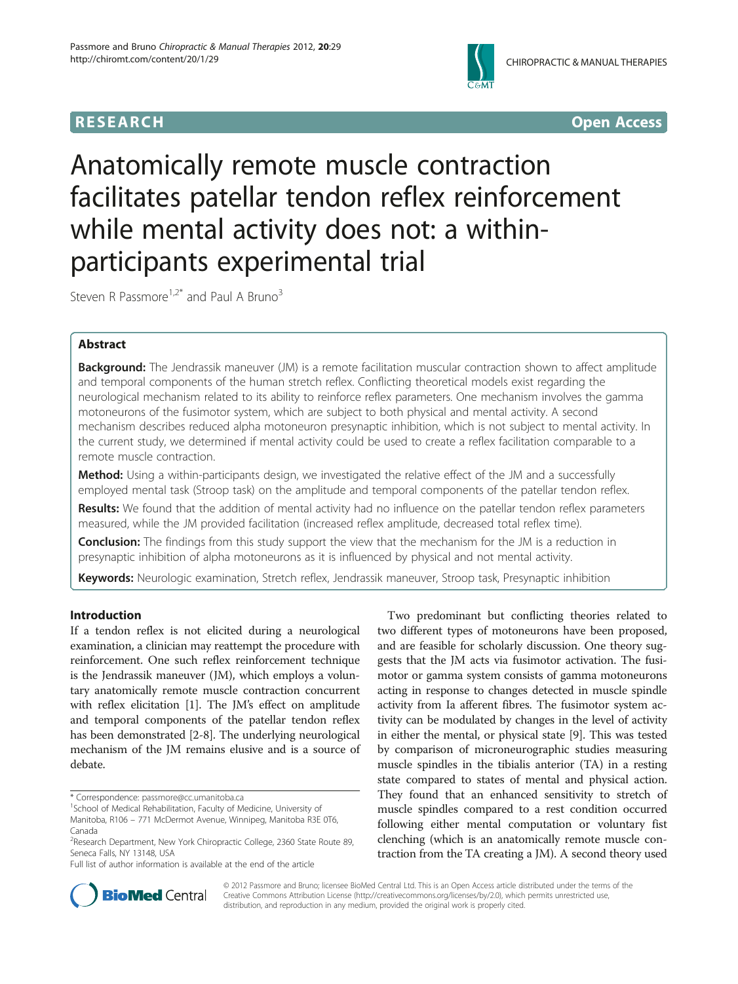**RESEARCH CHINESE ARCH CHINESE ARCHITECT ARCHITECT ARCHITECT ARCHITECT ARCHITECT ARCHITECT ARCHITECT ARCHITECT ARCHITECT ARCHITECT ARCHITECT ARCHITECT ARCHITECT ARCHITECT ARCHITECT ARCHITECT ARCHITECT ARCHITECT ARCHITE** 

# Anatomically remote muscle contraction facilitates patellar tendon reflex reinforcement while mental activity does not: a withinparticipants experimental trial

Steven R Passmore<sup>1,2\*</sup> and Paul A Bruno<sup>3</sup>

# Abstract

Background: The Jendrassik maneuver (JM) is a remote facilitation muscular contraction shown to affect amplitude and temporal components of the human stretch reflex. Conflicting theoretical models exist regarding the neurological mechanism related to its ability to reinforce reflex parameters. One mechanism involves the gamma motoneurons of the fusimotor system, which are subject to both physical and mental activity. A second mechanism describes reduced alpha motoneuron presynaptic inhibition, which is not subject to mental activity. In the current study, we determined if mental activity could be used to create a reflex facilitation comparable to a remote muscle contraction.

Method: Using a within-participants design, we investigated the relative effect of the JM and a successfully employed mental task (Stroop task) on the amplitude and temporal components of the patellar tendon reflex.

Results: We found that the addition of mental activity had no influence on the patellar tendon reflex parameters measured, while the JM provided facilitation (increased reflex amplitude, decreased total reflex time).

**Conclusion:** The findings from this study support the view that the mechanism for the JM is a reduction in presynaptic inhibition of alpha motoneurons as it is influenced by physical and not mental activity.

Keywords: Neurologic examination, Stretch reflex, Jendrassik maneuver, Stroop task, Presynaptic inhibition

# Introduction

If a tendon reflex is not elicited during a neurological examination, a clinician may reattempt the procedure with reinforcement. One such reflex reinforcement technique is the Jendrassik maneuver (JM), which employs a voluntary anatomically remote muscle contraction concurrent with reflex elicitation [[1](#page-6-0)]. The JM's effect on amplitude and temporal components of the patellar tendon reflex has been demonstrated [[2-8\]](#page-6-0). The underlying neurological mechanism of the JM remains elusive and is a source of debate.

Two predominant but conflicting theories related to two different types of motoneurons have been proposed, and are feasible for scholarly discussion. One theory suggests that the JM acts via fusimotor activation. The fusimotor or gamma system consists of gamma motoneurons acting in response to changes detected in muscle spindle activity from Ia afferent fibres. The fusimotor system activity can be modulated by changes in the level of activity in either the mental, or physical state [[9](#page-6-0)]. This was tested by comparison of microneurographic studies measuring muscle spindles in the tibialis anterior (TA) in a resting state compared to states of mental and physical action. They found that an enhanced sensitivity to stretch of muscle spindles compared to a rest condition occurred following either mental computation or voluntary fist clenching (which is an anatomically remote muscle contraction from the TA creating a JM). A second theory used



© 2012 Passmore and Bruno; licensee BioMed Central Ltd. This is an Open Access article distributed under the terms of the Creative Commons Attribution License (<http://creativecommons.org/licenses/by/2.0>), which permits unrestricted use, distribution, and reproduction in any medium, provided the original work is properly cited.

<sup>\*</sup> Correspondence: [passmore@cc.umanitoba.ca](mailto:passmore@cc.umanitoba.ca) <sup>1</sup>

<sup>&</sup>lt;sup>1</sup>School of Medical Rehabilitation, Faculty of Medicine, University of Manitoba, R106 – 771 McDermot Avenue, Winnipeg, Manitoba R3E 0T6,

Canada

<sup>&</sup>lt;sup>2</sup> Research Department, New York Chiropractic College, 2360 State Route 89, Seneca Falls, NY 13148, USA

Full list of author information is available at the end of the article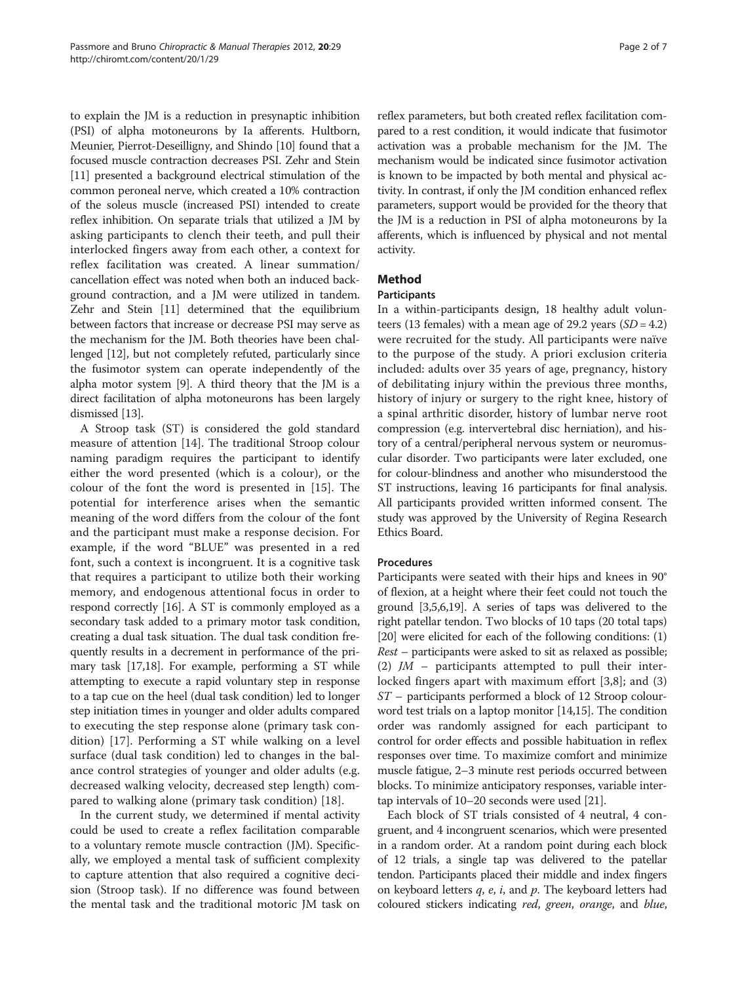to explain the JM is a reduction in presynaptic inhibition (PSI) of alpha motoneurons by Ia afferents. Hultborn, Meunier, Pierrot-Deseilligny, and Shindo [[10](#page-6-0)] found that a focused muscle contraction decreases PSI. Zehr and Stein [[11](#page-6-0)] presented a background electrical stimulation of the common peroneal nerve, which created a 10% contraction of the soleus muscle (increased PSI) intended to create reflex inhibition. On separate trials that utilized a JM by asking participants to clench their teeth, and pull their interlocked fingers away from each other, a context for reflex facilitation was created. A linear summation/ cancellation effect was noted when both an induced background contraction, and a JM were utilized in tandem. Zehr and Stein [\[11](#page-6-0)] determined that the equilibrium between factors that increase or decrease PSI may serve as the mechanism for the JM. Both theories have been challenged [\[12\]](#page-6-0), but not completely refuted, particularly since the fusimotor system can operate independently of the alpha motor system [\[9](#page-6-0)]. A third theory that the JM is a direct facilitation of alpha motoneurons has been largely dismissed [\[13\]](#page-6-0).

A Stroop task (ST) is considered the gold standard measure of attention [\[14](#page-6-0)]. The traditional Stroop colour naming paradigm requires the participant to identify either the word presented (which is a colour), or the colour of the font the word is presented in [\[15](#page-6-0)]. The potential for interference arises when the semantic meaning of the word differs from the colour of the font and the participant must make a response decision. For example, if the word "BLUE" was presented in a red font, such a context is incongruent. It is a cognitive task that requires a participant to utilize both their working memory, and endogenous attentional focus in order to respond correctly [[16](#page-6-0)]. A ST is commonly employed as a secondary task added to a primary motor task condition, creating a dual task situation. The dual task condition frequently results in a decrement in performance of the primary task [\[17,18\]](#page-6-0). For example, performing a ST while attempting to execute a rapid voluntary step in response to a tap cue on the heel (dual task condition) led to longer step initiation times in younger and older adults compared to executing the step response alone (primary task condition) [[17\]](#page-6-0). Performing a ST while walking on a level surface (dual task condition) led to changes in the balance control strategies of younger and older adults (e.g. decreased walking velocity, decreased step length) compared to walking alone (primary task condition) [\[18](#page-6-0)].

In the current study, we determined if mental activity could be used to create a reflex facilitation comparable to a voluntary remote muscle contraction (JM). Specifically, we employed a mental task of sufficient complexity to capture attention that also required a cognitive decision (Stroop task). If no difference was found between the mental task and the traditional motoric JM task on

reflex parameters, but both created reflex facilitation compared to a rest condition, it would indicate that fusimotor activation was a probable mechanism for the JM. The mechanism would be indicated since fusimotor activation is known to be impacted by both mental and physical activity. In contrast, if only the JM condition enhanced reflex parameters, support would be provided for the theory that the JM is a reduction in PSI of alpha motoneurons by Ia afferents, which is influenced by physical and not mental activity.

# Method

## **Participants**

In a within-participants design, 18 healthy adult volunteers (13 females) with a mean age of 29.2 years  $(SD = 4.2)$ were recruited for the study. All participants were naïve to the purpose of the study. A priori exclusion criteria included: adults over 35 years of age, pregnancy, history of debilitating injury within the previous three months, history of injury or surgery to the right knee, history of a spinal arthritic disorder, history of lumbar nerve root compression (e.g. intervertebral disc herniation), and history of a central/peripheral nervous system or neuromuscular disorder. Two participants were later excluded, one for colour-blindness and another who misunderstood the ST instructions, leaving 16 participants for final analysis. All participants provided written informed consent. The study was approved by the University of Regina Research Ethics Board.

# Procedures

Participants were seated with their hips and knees in 90° of flexion, at a height where their feet could not touch the ground [\[3,5,6,19\]](#page-6-0). A series of taps was delivered to the right patellar tendon. Two blocks of 10 taps (20 total taps) [[20](#page-6-0)] were elicited for each of the following conditions: (1) Rest – participants were asked to sit as relaxed as possible; (2)  $JM$  – participants attempted to pull their interlocked fingers apart with maximum effort [[3](#page-6-0),[8\]](#page-6-0); and (3) ST – participants performed a block of 12 Stroop colourword test trials on a laptop monitor [[14,15](#page-6-0)]. The condition order was randomly assigned for each participant to control for order effects and possible habituation in reflex responses over time. To maximize comfort and minimize muscle fatigue, 2–3 minute rest periods occurred between blocks. To minimize anticipatory responses, variable intertap intervals of 10–20 seconds were used [[21](#page-6-0)].

Each block of ST trials consisted of 4 neutral, 4 congruent, and 4 incongruent scenarios, which were presented in a random order. At a random point during each block of 12 trials, a single tap was delivered to the patellar tendon. Participants placed their middle and index fingers on keyboard letters  $q$ ,  $e$ ,  $i$ , and  $p$ . The keyboard letters had coloured stickers indicating red, green, orange, and blue,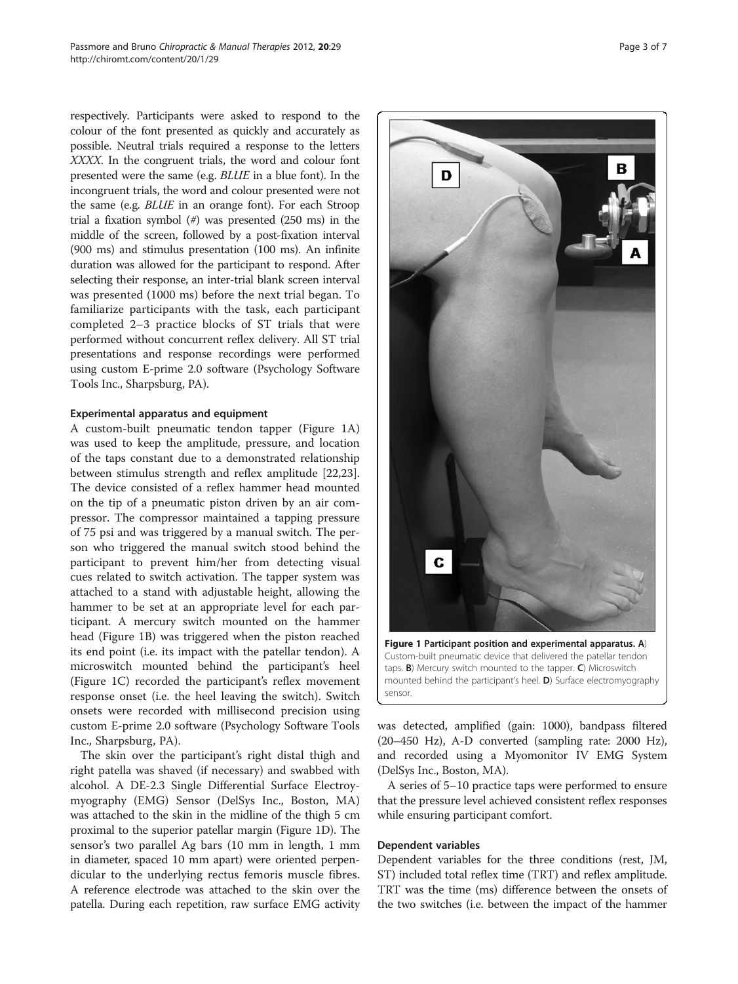respectively. Participants were asked to respond to the colour of the font presented as quickly and accurately as possible. Neutral trials required a response to the letters XXXX. In the congruent trials, the word and colour font presented were the same (e.g. BLUE in a blue font). In the incongruent trials, the word and colour presented were not the same (e.g. BLUE in an orange font). For each Stroop trial a fixation symbol  $(\#)$  was presented (250 ms) in the middle of the screen, followed by a post-fixation interval (900 ms) and stimulus presentation (100 ms). An infinite duration was allowed for the participant to respond. After selecting their response, an inter-trial blank screen interval was presented (1000 ms) before the next trial began. To familiarize participants with the task, each participant completed 2–3 practice blocks of ST trials that were performed without concurrent reflex delivery. All ST trial presentations and response recordings were performed using custom E-prime 2.0 software (Psychology Software Tools Inc., Sharpsburg, PA).

#### Experimental apparatus and equipment

A custom-built pneumatic tendon tapper (Figure 1A) was used to keep the amplitude, pressure, and location of the taps constant due to a demonstrated relationship between stimulus strength and reflex amplitude [\[22,23](#page-6-0)]. The device consisted of a reflex hammer head mounted on the tip of a pneumatic piston driven by an air compressor. The compressor maintained a tapping pressure of 75 psi and was triggered by a manual switch. The person who triggered the manual switch stood behind the participant to prevent him/her from detecting visual cues related to switch activation. The tapper system was attached to a stand with adjustable height, allowing the hammer to be set at an appropriate level for each participant. A mercury switch mounted on the hammer head (Figure 1B) was triggered when the piston reached its end point (i.e. its impact with the patellar tendon). A microswitch mounted behind the participant's heel (Figure 1C) recorded the participant's reflex movement response onset (i.e. the heel leaving the switch). Switch onsets were recorded with millisecond precision using custom E-prime 2.0 software (Psychology Software Tools Inc., Sharpsburg, PA).

The skin over the participant's right distal thigh and right patella was shaved (if necessary) and swabbed with alcohol. A DE-2.3 Single Differential Surface Electroymyography (EMG) Sensor (DelSys Inc., Boston, MA) was attached to the skin in the midline of the thigh 5 cm proximal to the superior patellar margin (Figure 1D). The sensor's two parallel Ag bars (10 mm in length, 1 mm in diameter, spaced 10 mm apart) were oriented perpendicular to the underlying rectus femoris muscle fibres. A reference electrode was attached to the skin over the patella. During each repetition, raw surface EMG activity



Custom-built pneumatic device that delivered the patellar tendon taps. **B**) Mercury switch mounted to the tapper. C) Microswitch mounted behind the participant's heel. D) Surface electromyography sensor.

was detected, amplified (gain: 1000), bandpass filtered (20–450 Hz), A-D converted (sampling rate: 2000 Hz), and recorded using a Myomonitor IV EMG System (DelSys Inc., Boston, MA).

A series of 5–10 practice taps were performed to ensure that the pressure level achieved consistent reflex responses while ensuring participant comfort.

#### Dependent variables

Dependent variables for the three conditions (rest, JM, ST) included total reflex time (TRT) and reflex amplitude. TRT was the time (ms) difference between the onsets of the two switches (i.e. between the impact of the hammer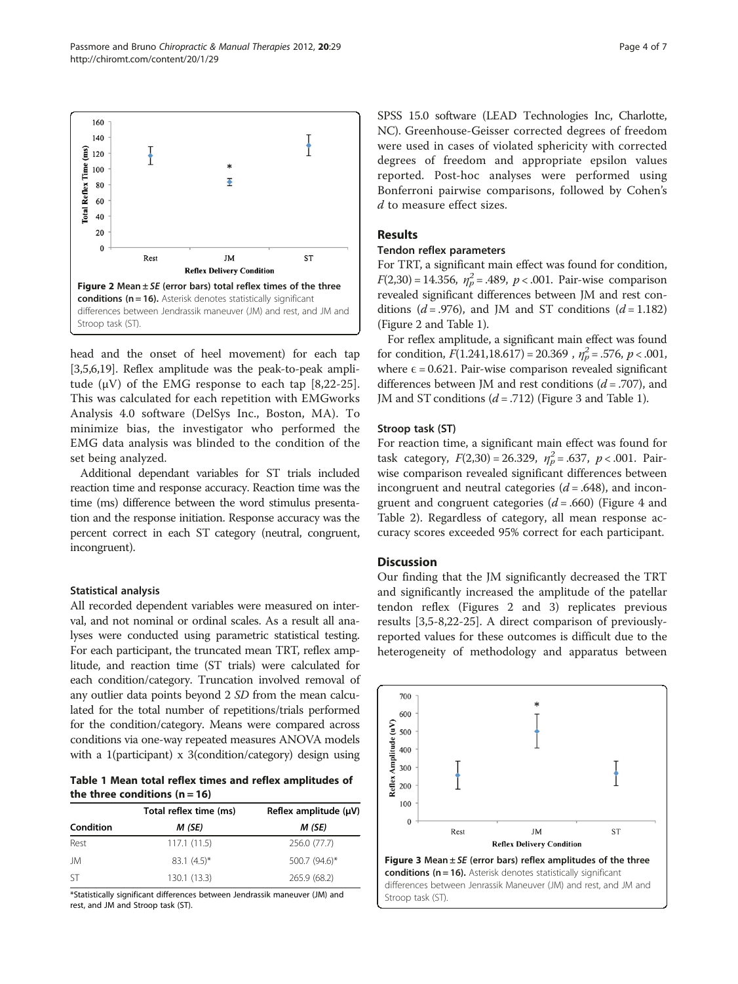head and the onset of heel movement) for each tap [[3,5](#page-6-0),[6,19](#page-6-0)]. Reflex amplitude was the peak-to-peak amplitude  $(\mu V)$  of the EMG response to each tap  $[8,22-25]$  $[8,22-25]$ . This was calculated for each repetition with EMGworks Analysis 4.0 software (DelSys Inc., Boston, MA). To minimize bias, the investigator who performed the EMG data analysis was blinded to the condition of the set being analyzed.

Additional dependant variables for ST trials included reaction time and response accuracy. Reaction time was the time (ms) difference between the word stimulus presentation and the response initiation. Response accuracy was the percent correct in each ST category (neutral, congruent, incongruent).

### Statistical analysis

All recorded dependent variables were measured on interval, and not nominal or ordinal scales. As a result all analyses were conducted using parametric statistical testing. For each participant, the truncated mean TRT, reflex amplitude, and reaction time (ST trials) were calculated for each condition/category. Truncation involved removal of any outlier data points beyond 2 SD from the mean calculated for the total number of repetitions/trials performed for the condition/category. Means were compared across conditions via one-way repeated measures ANOVA models with a 1(participant) x 3(condition/category) design using

Table 1 Mean total reflex times and reflex amplitudes of the three conditions  $(n = 16)$ 

|           | Total reflex time (ms) | Reflex amplitude $(\mu V)$ |  |  |
|-----------|------------------------|----------------------------|--|--|
| Condition | M (SE)                 | M (SE)                     |  |  |
| Rest      | 117.1(11.5)            | 256.0 (77.7)               |  |  |
| JM        | $83.1 (4.5)^*$         | 500.7 (94.6)*              |  |  |
| <b>ST</b> | 130.1 (13.3)           | 265.9 (68.2)               |  |  |

\*Statistically significant differences between Jendrassik maneuver (JM) and rest, and JM and Stroop task (ST).

SPSS 15.0 software (LEAD Technologies Inc, Charlotte, NC). Greenhouse-Geisser corrected degrees of freedom were used in cases of violated sphericity with corrected degrees of freedom and appropriate epsilon values reported. Post-hoc analyses were performed using Bonferroni pairwise comparisons, followed by Cohen's d to measure effect sizes.

### Results

### Tendon reflex parameters

For TRT, a significant main effect was found for condition,  $F(2,30) = 14.356$ ,  $\eta_p^2 = .489$ ,  $p < .001$ . Pair-wise comparison revealed significant differences between JM and rest conditions ( $d = .976$ ), and JM and ST conditions ( $d = 1.182$ ) (Figure 2 and Table 1).

For reflex amplitude, a significant main effect was found for condition,  $F(1.241,18.617) = 20.369$ ,  $\eta_p^2 = .576$ ,  $p < .001$ , where  $\epsilon$  = 0.621. Pair-wise comparison revealed significant differences between JM and rest conditions  $(d = .707)$ , and JM and ST conditions  $(d = .712)$  (Figure 3 and Table 1).

#### Stroop task (ST)

For reaction time, a significant main effect was found for task category,  $F(2,30) = 26.329$ ,  $\eta_p^2 = .637$ ,  $p < .001$ . Pairwise comparison revealed significant differences between incongruent and neutral categories  $(d = .648)$ , and incongruent and congruent categories  $(d = .660)$  (Figure [4](#page-4-0) and Table [2\)](#page-4-0). Regardless of category, all mean response accuracy scores exceeded 95% correct for each participant.

#### **Discussion**

Our finding that the JM significantly decreased the TRT and significantly increased the amplitude of the patellar tendon reflex (Figures 2 and 3) replicates previous results [\[3,5](#page-6-0)-[8,22-25](#page-6-0)]. A direct comparison of previouslyreported values for these outcomes is difficult due to the heterogeneity of methodology and apparatus between



<span id="page-3-0"></span>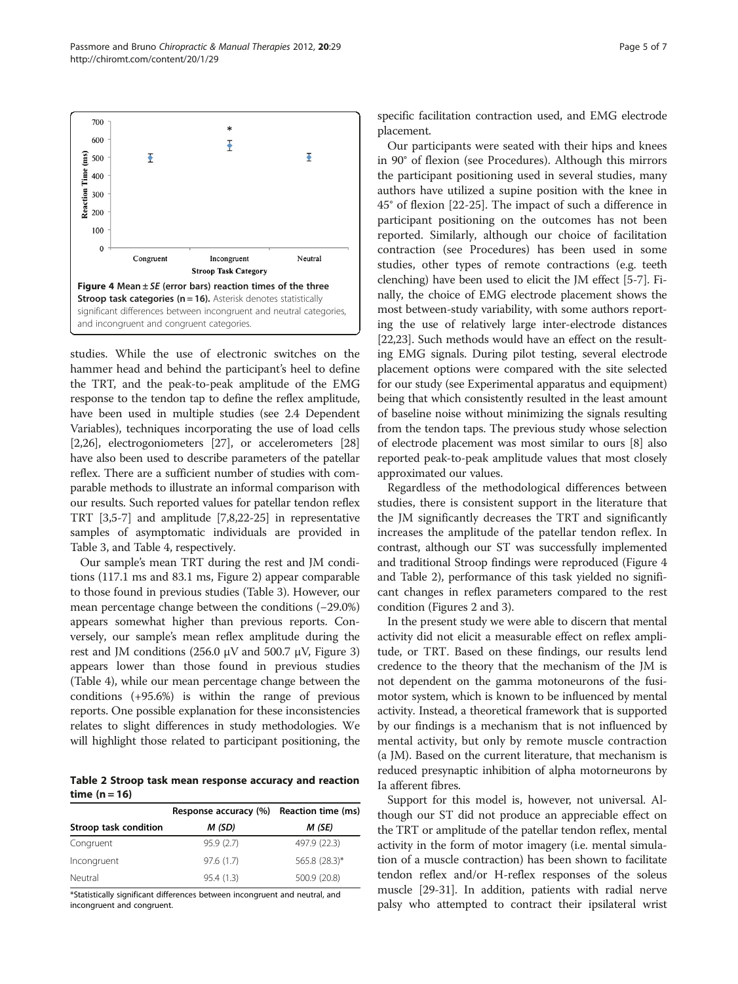studies. While the use of electronic switches on the hammer head and behind the participant's heel to define the TRT, and the peak-to-peak amplitude of the EMG response to the tendon tap to define the reflex amplitude, have been used in multiple studies (see 2.4 Dependent Variables), techniques incorporating the use of load cells [[2,26](#page-6-0)], electrogoniometers [\[27](#page-6-0)], or accelerometers [[28](#page-6-0)] have also been used to describe parameters of the patellar reflex. There are a sufficient number of studies with comparable methods to illustrate an informal comparison with our results. Such reported values for patellar tendon reflex TRT [\[3,5-7](#page-6-0)] and amplitude [\[7,8,22](#page-6-0)-[25](#page-6-0)] in representative samples of asymptomatic individuals are provided in Table [3,](#page-5-0) and Table [4](#page-5-0), respectively.

Our sample's mean TRT during the rest and JM conditions (117.1 ms and 83.1 ms, Figure [2](#page-3-0)) appear comparable to those found in previous studies (Table [3](#page-5-0)). However, our mean percentage change between the conditions (−29.0%) appears somewhat higher than previous reports. Conversely, our sample's mean reflex amplitude during the rest and JM conditions (256.0  $\mu$ V and 500.7  $\mu$ V, Figure [3](#page-3-0)) appears lower than those found in previous studies (Table [4](#page-5-0)), while our mean percentage change between the conditions (+95.6%) is within the range of previous reports. One possible explanation for these inconsistencies relates to slight differences in study methodologies. We will highlight those related to participant positioning, the

Table 2 Stroop task mean response accuracy and reaction time  $(n = 16)$ 

|                       | Response accuracy (%) Reaction time (ms) |               |  |
|-----------------------|------------------------------------------|---------------|--|
| Stroop task condition | M (SD)                                   | M (SE)        |  |
| Congruent             | 95.9(2.7)                                | 497.9 (22.3)  |  |
| Incongruent           | 97.6(1.7)                                | 565.8 (28.3)* |  |
| Neutral               | 95.4(1.3)                                | 500.9 (20.8)  |  |

\*Statistically significant differences between incongruent and neutral, and incongruent and congruent.

specific facilitation contraction used, and EMG electrode placement.

Our participants were seated with their hips and knees in 90° of flexion (see Procedures). Although this mirrors the participant positioning used in several studies, many authors have utilized a supine position with the knee in 45° of flexion [\[22](#page-6-0)-[25\]](#page-6-0). The impact of such a difference in participant positioning on the outcomes has not been reported. Similarly, although our choice of facilitation contraction (see Procedures) has been used in some studies, other types of remote contractions (e.g. teeth clenching) have been used to elicit the JM effect [\[5-7](#page-6-0)]. Finally, the choice of EMG electrode placement shows the most between-study variability, with some authors reporting the use of relatively large inter-electrode distances [[22](#page-6-0),[23](#page-6-0)]. Such methods would have an effect on the resulting EMG signals. During pilot testing, several electrode placement options were compared with the site selected for our study (see Experimental apparatus and equipment) being that which consistently resulted in the least amount of baseline noise without minimizing the signals resulting from the tendon taps. The previous study whose selection of electrode placement was most similar to ours [\[8](#page-6-0)] also reported peak-to-peak amplitude values that most closely approximated our values.

Regardless of the methodological differences between studies, there is consistent support in the literature that the JM significantly decreases the TRT and significantly increases the amplitude of the patellar tendon reflex. In contrast, although our ST was successfully implemented and traditional Stroop findings were reproduced (Figure 4 and Table 2), performance of this task yielded no significant changes in reflex parameters compared to the rest condition (Figures [2](#page-3-0) and [3\)](#page-3-0).

In the present study we were able to discern that mental activity did not elicit a measurable effect on reflex amplitude, or TRT. Based on these findings, our results lend credence to the theory that the mechanism of the JM is not dependent on the gamma motoneurons of the fusimotor system, which is known to be influenced by mental activity. Instead, a theoretical framework that is supported by our findings is a mechanism that is not influenced by mental activity, but only by remote muscle contraction (a JM). Based on the current literature, that mechanism is reduced presynaptic inhibition of alpha motorneurons by Ia afferent fibres.

Support for this model is, however, not universal. Although our ST did not produce an appreciable effect on the TRT or amplitude of the patellar tendon reflex, mental activity in the form of motor imagery (i.e. mental simulation of a muscle contraction) has been shown to facilitate tendon reflex and/or H-reflex responses of the soleus muscle [\[29-31](#page-6-0)]. In addition, patients with radial nerve palsy who attempted to contract their ipsilateral wrist

<span id="page-4-0"></span>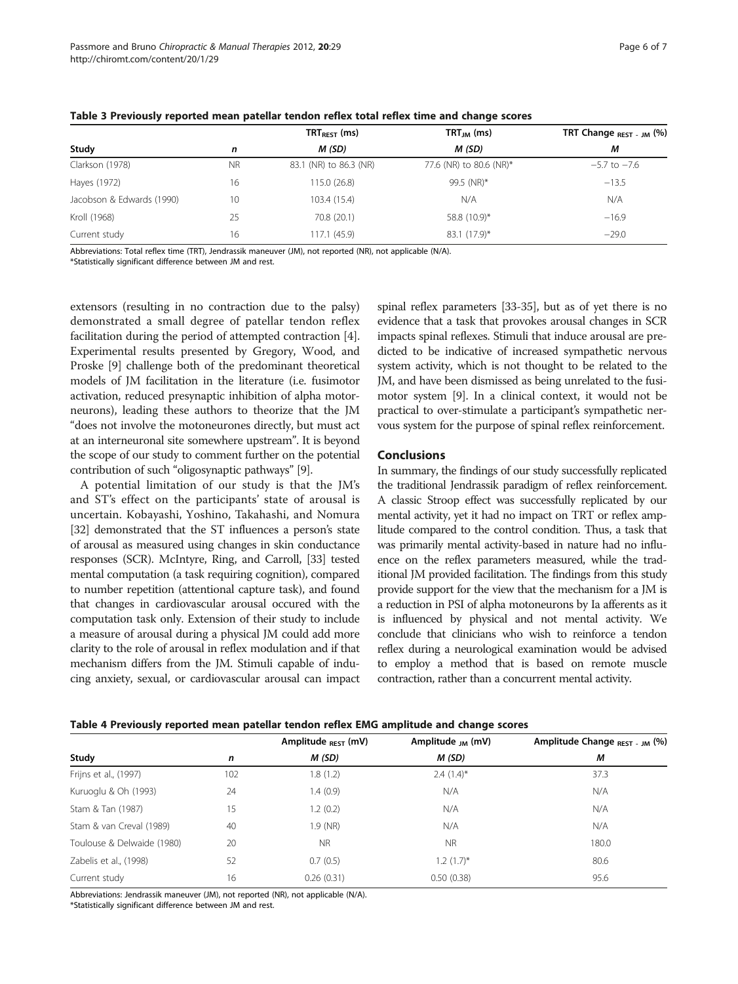|                           |           | $TRT_{RFST}$ (ms)      | $TRT_{IM}$ (ms)         | TRT Change $_{\text{REST - JM}}$ (%) |  |
|---------------------------|-----------|------------------------|-------------------------|--------------------------------------|--|
| Study                     | n         | M (SD)                 | M (SD)                  | м                                    |  |
| Clarkson (1978)           | <b>NR</b> | 83.1 (NR) to 86.3 (NR) | 77.6 (NR) to 80.6 (NR)* | $-5.7$ to $-7.6$                     |  |
| Hayes (1972)              | 16        | 115.0 (26.8)           | 99.5 (NR)*              | $-13.5$                              |  |
| Jacobson & Edwards (1990) | 10        | 103.4 (15.4)           | N/A                     | N/A                                  |  |
| Kroll (1968)              | 25        | 70.8 (20.1)            | 58.8 (10.9)*            | $-16.9$                              |  |
| Current study             | 16        | 117.1 (45.9)           | 83.1 (17.9)*            | $-29.0$                              |  |

<span id="page-5-0"></span>Table 3 Previously reported mean patellar tendon reflex total reflex time and change scores

Abbreviations: Total reflex time (TRT), Jendrassik maneuver (JM), not reported (NR), not applicable (N/A).

\*Statistically significant difference between JM and rest.

extensors (resulting in no contraction due to the palsy) demonstrated a small degree of patellar tendon reflex facilitation during the period of attempted contraction [[4](#page-6-0)]. Experimental results presented by Gregory, Wood, and Proske [\[9](#page-6-0)] challenge both of the predominant theoretical models of JM facilitation in the literature (i.e. fusimotor activation, reduced presynaptic inhibition of alpha motorneurons), leading these authors to theorize that the JM "does not involve the motoneurones directly, but must act at an interneuronal site somewhere upstream". It is beyond the scope of our study to comment further on the potential contribution of such "oligosynaptic pathways" [[9](#page-6-0)].

A potential limitation of our study is that the JM's and ST's effect on the participants' state of arousal is uncertain. Kobayashi, Yoshino, Takahashi, and Nomura [[32](#page-6-0)] demonstrated that the ST influences a person's state of arousal as measured using changes in skin conductance responses (SCR). McIntyre, Ring, and Carroll, [[33](#page-6-0)] tested mental computation (a task requiring cognition), compared to number repetition (attentional capture task), and found that changes in cardiovascular arousal occured with the computation task only. Extension of their study to include a measure of arousal during a physical JM could add more clarity to the role of arousal in reflex modulation and if that mechanism differs from the JM. Stimuli capable of inducing anxiety, sexual, or cardiovascular arousal can impact

spinal reflex parameters [[33](#page-6-0)-[35](#page-6-0)], but as of yet there is no evidence that a task that provokes arousal changes in SCR impacts spinal reflexes. Stimuli that induce arousal are predicted to be indicative of increased sympathetic nervous system activity, which is not thought to be related to the JM, and have been dismissed as being unrelated to the fusimotor system [\[9\]](#page-6-0). In a clinical context, it would not be practical to over-stimulate a participant's sympathetic nervous system for the purpose of spinal reflex reinforcement.

#### Conclusions

In summary, the findings of our study successfully replicated the traditional Jendrassik paradigm of reflex reinforcement. A classic Stroop effect was successfully replicated by our mental activity, yet it had no impact on TRT or reflex amplitude compared to the control condition. Thus, a task that was primarily mental activity-based in nature had no influence on the reflex parameters measured, while the traditional JM provided facilitation. The findings from this study provide support for the view that the mechanism for a JM is a reduction in PSI of alpha motoneurons by Ia afferents as it is influenced by physical and not mental activity. We conclude that clinicians who wish to reinforce a tendon reflex during a neurological examination would be advised to employ a method that is based on remote muscle contraction, rather than a concurrent mental activity.

|  |  | Table 4 Previously reported mean patellar tendon reflex EMG amplitude and change scores |
|--|--|-----------------------------------------------------------------------------------------|
|  |  |                                                                                         |

|                            |     | Amplitude $_{RFT}$ (mV) | Amplitude $_{IM}$ (mV) | Amplitude Change $_{\text{REST - JM}}$ (%) |  |
|----------------------------|-----|-------------------------|------------------------|--------------------------------------------|--|
| Study                      | n   | M (SD)                  | M(SD)                  | М                                          |  |
| Frijns et al., (1997)      | 102 | 1.8(1.2)                | $2.4(1.4)$ *           | 37.3                                       |  |
| Kuruoglu & Oh (1993)       | 24  | 1.4(0.9)                | N/A                    | N/A                                        |  |
| Stam & Tan (1987)          | 15  | 1.2(0.2)                | N/A                    | N/A                                        |  |
| Stam & van Creval (1989)   | 40  | $1.9$ (NR)              | N/A                    | N/A                                        |  |
| Toulouse & Delwaide (1980) | 20  | NR.                     | <b>NR</b>              | 180.0                                      |  |
| Zabelis et al., (1998)     | 52  | 0.7(0.5)                | $1.2(1.7)^{*}$         | 80.6                                       |  |
| Current study              | 16  | 0.26(0.31)              | 0.50(0.38)             | 95.6                                       |  |

Abbreviations: Jendrassik maneuver (JM), not reported (NR), not applicable (N/A).

\*Statistically significant difference between JM and rest.